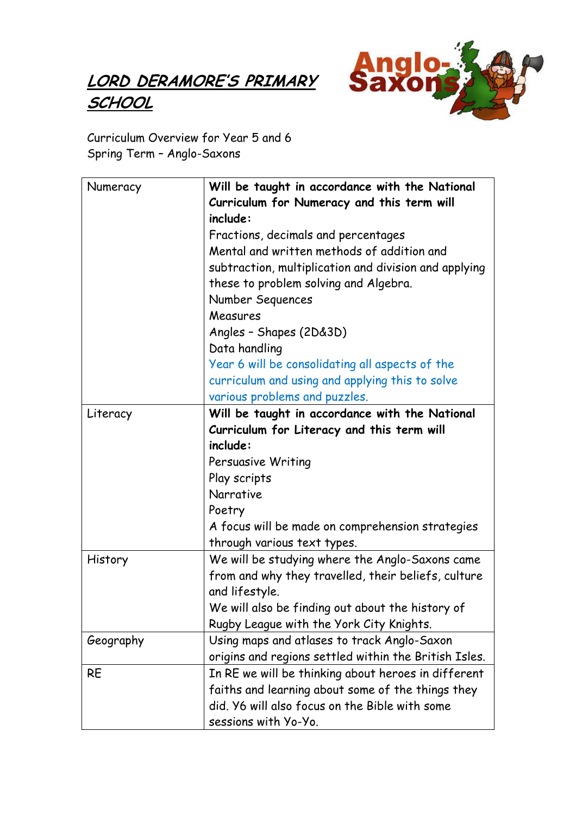## LORD DERAMORE'S PRIMARY **SCHOOL**



Curriculum Overview for Year 5 and 6 Spring Term – Anglo-Saxons

| Numeracy  | Will be taught in accordance with the National         |
|-----------|--------------------------------------------------------|
|           | Curriculum for Numeracy and this term will<br>include: |
|           | Fractions, decimals and percentages                    |
|           | Mental and written methods of addition and             |
|           | subtraction, multiplication and division and applying  |
|           | these to problem solving and Algebra.                  |
|           | Number Sequences                                       |
|           | Measures                                               |
|           | Angles - Shapes (2D&3D)                                |
|           | Data handling                                          |
|           | Year 6 will be consolidating all aspects of the        |
|           | curriculum and using and applying this to solve        |
|           | various problems and puzzles.                          |
| Literacy  | Will be taught in accordance with the National         |
|           | Curriculum for Literacy and this term will             |
|           | include:                                               |
|           | Persuasive Writing                                     |
|           | Play scripts                                           |
|           | Narrative                                              |
|           | Poetry                                                 |
|           | A focus will be made on comprehension strategies       |
|           | through various text types.                            |
| History   | We will be studying where the Anglo-Saxons came        |
|           | from and why they travelled, their beliefs, culture    |
|           | and lifestyle.                                         |
|           | We will also be finding out about the history of       |
|           | Rugby League with the York City Knights.               |
| Geography | Using maps and atlases to track Anglo-Saxon            |
|           | origins and regions settled within the British Isles.  |
| <b>RE</b> | In RE we will be thinking about heroes in different    |
|           | faiths and learning about some of the things they      |
|           | did. Y6 will also focus on the Bible with some         |
|           | sessions with Yo-Yo.                                   |